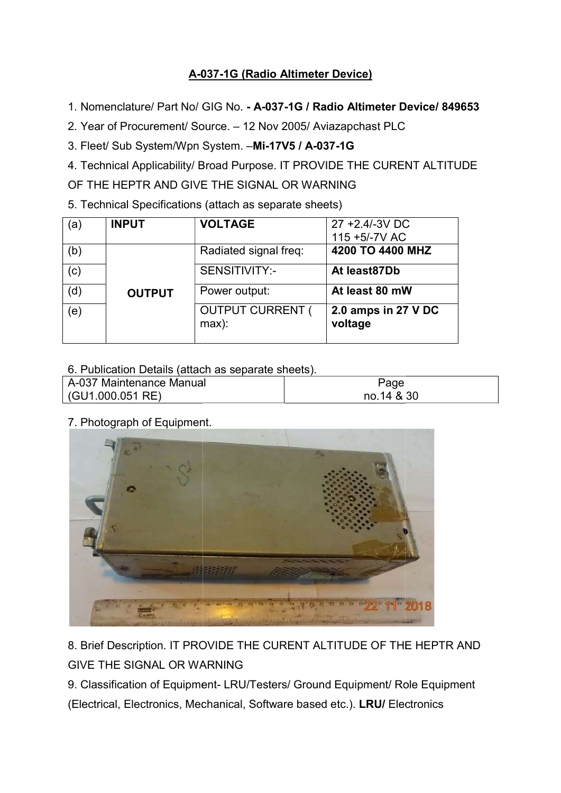## A-037 037-1G (Radio Altimeter Device)

- 1. Nomenclature/ Part No/ GIG No. A-037-1G / Radio Altimeter Device/ 849653
- 2. Year of Procurement/ Source. 12 Nov 2005/ Aviazapchast PLC

3. Fleet/ Sub System/Wpn System. . Fleet/ Sub System. –Mi-17V5 / A-037-1G

4. Technical Applicability/ Broad Purpose. IT PROVIDE THE CURENT ALTITUDE

OF THE HEPTR AND GIVE THE SIGNAL OR WARNING

OF THE HEPTR AND GIVE THE SIGNAL OR WARNIN<br>5. Technical Specifications (attach as separate sheets)

| (a  | <b>INPUT</b>  | <b>VOLTAGE</b>                     | 27 +2.4/-3V DC                 |
|-----|---------------|------------------------------------|--------------------------------|
|     |               |                                    | 115 +5/-7V AC                  |
| (b) |               | Radiated signal freq:              | 4200 TO 4400 MHZ               |
| (c) |               | SENSITIVITY:-                      | At least87Db                   |
| (d) | <b>OUTPUT</b> | Power output:                      | At least 80 mW                 |
| (e) |               | <b>OUTPUT CURRENT (</b><br>$max$ : | 2.0 amps in 27 V DC<br>voltage |

| 6. Publication Details (attach as separate sheets). |            |  |  |  |
|-----------------------------------------------------|------------|--|--|--|
| A-037 Maintenance Manual                            | Page       |  |  |  |
| (GU1.000.051 RE)                                    | no.14 & 30 |  |  |  |

7. Photograph of Equipment.



8. Brief Description. IT PROVIDE THE CURENT ALTITUDE OF THE HEPTR AND GIVE THE SIGNAL OR WARNING

9. Classification of Equipment- LRU/Testers/ Ground Equipment/ Role Equipment

(Electrical, Electronics, Mechanical, Software base based etc.). LRU/ Electronics